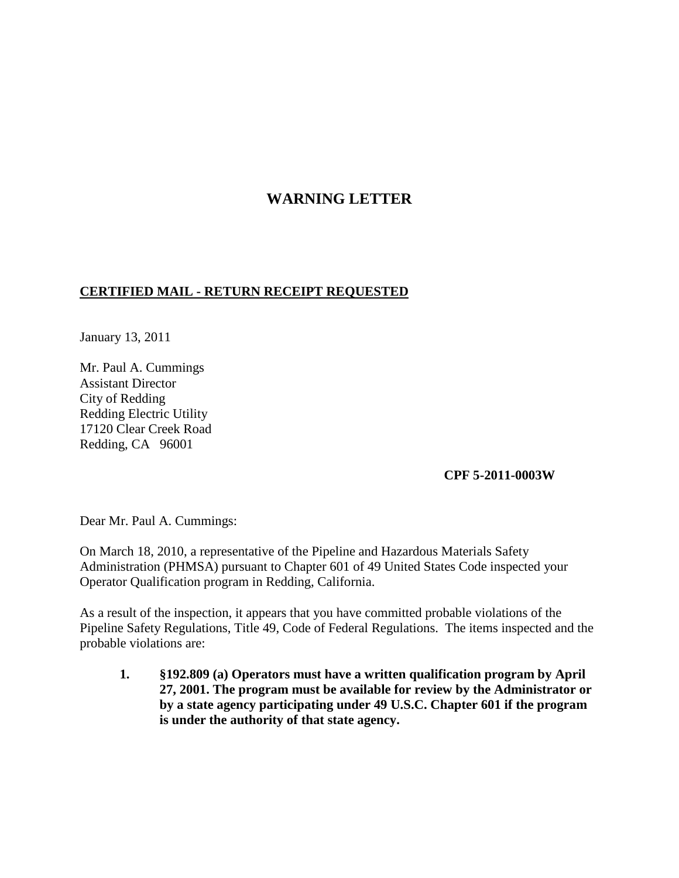## **WARNING LETTER**

## **CERTIFIED MAIL - RETURN RECEIPT REQUESTED**

January 13, 2011

Mr. Paul A. Cummings Assistant Director City of Redding Redding Electric Utility 17120 Clear Creek Road Redding, CA 96001

## **CPF 5-2011-0003W**

Dear Mr. Paul A. Cummings:

On March 18, 2010, a representative of the Pipeline and Hazardous Materials Safety Administration (PHMSA) pursuant to Chapter 601 of 49 United States Code inspected your Operator Qualification program in Redding, California.

As a result of the inspection, it appears that you have committed probable violations of the Pipeline Safety Regulations, Title 49, Code of Federal Regulations. The items inspected and the probable violations are:

**1. §192.809 (a) Operators must have a written qualification program by April 27, 2001. The program must be available for review by the Administrator or by a state agency participating under 49 U.S.C. Chapter 601 if the program is under the authority of that state agency.**